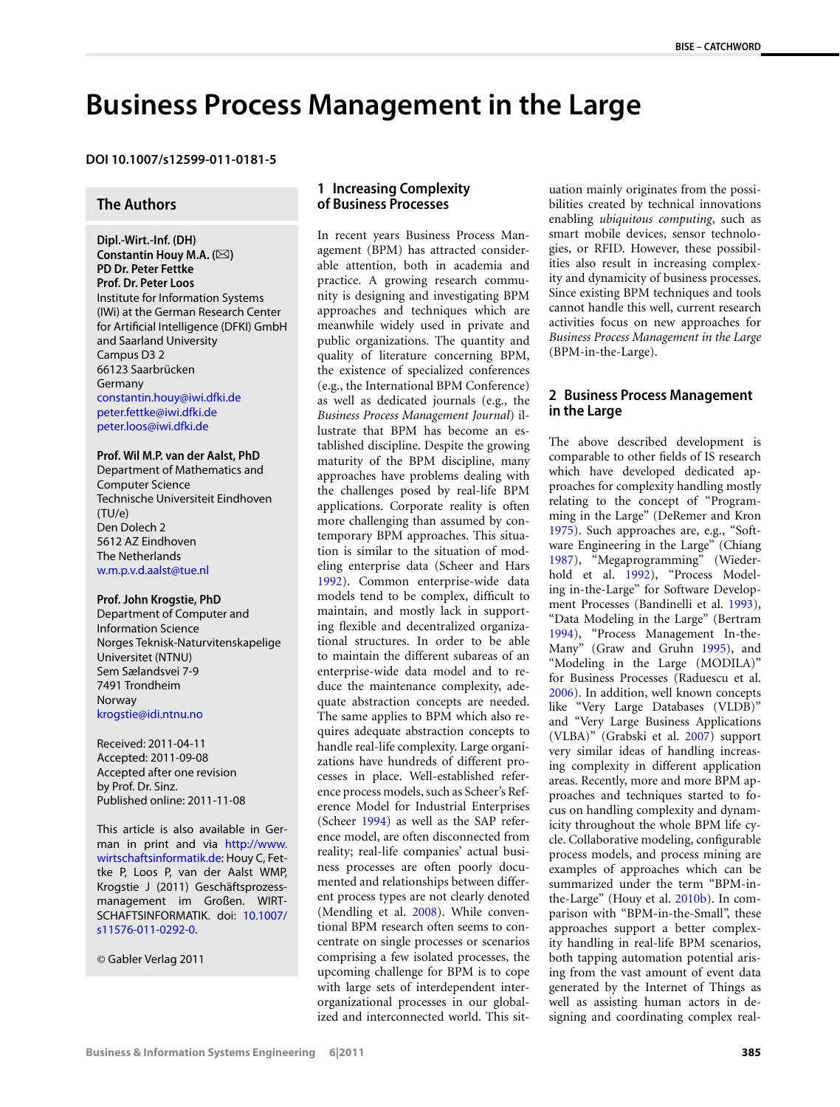# **Business Process Management in the Large**

#### **DOI 10.1007/s12599-011-0181-5**

### **The Authors**

**Dipl.-Wirt.-Inf. (DH) Constantin Houy M.A. (⊠) PD Dr. Peter Fettke Prof. Dr. Peter Loos** Institute for Information Systems (IWi) at the German Research Center for Artificial Intelligence (DFKI) GmbH and Saarland University Campus D3 2 66123 Saarbrücken Germany [constantin.houy@iwi.dfki.de](mailto:constantin.houy@iwi.dfki.de) [peter.fettke@iwi.dfki.de](mailto:peter.fettke@iwi.dfki.de) [peter.loos@iwi.dfki.de](mailto:peter.loos@iwi.dfki.de)

#### **Prof. Wil M.P. van der Aalst, PhD**

Department of Mathematics and Computer Science Technische Universiteit Eindhoven (TU/e) Den Dolech 2 5612 AZ Eindhoven The Netherlands [w.m.p.v.d.aalst@tue.nl](mailto:w.m.p.v.d.aalst@tue.nl)

#### **Prof. John Krogstie, PhD**

Department of Computer and Information Science Norges Teknisk-Naturvitenskapelige Universitet (NTNU) Sem Sælandsvei 7-9 7491 Trondheim Norway [krogstie@idi.ntnu.no](mailto:krogstie@idi.ntnu.no)

Received: 2011-04-11 Accepted: 2011-09-08 Accepted after one revision by Prof. Dr. Sinz. Published online: 2011-11-08

This article is also available in German in print and via [http://www.](http://www.wirtschaftsinformatik.de) [wirtschaftsinformatik.de:](http://www.wirtschaftsinformatik.de) Houy C, Fettke P, Loos P, van der Aalst WMP, Krogstie J (2011) Geschäftsprozessmanagement im Großen. WIRT-SCHAFTSINFORMATIK. doi: [10.1007/](http://dx.doi.org/10.1007/s11576-011-0292-0) [s11576-011-0292-0](http://dx.doi.org/10.1007/s11576-011-0292-0).

© Gabler Verlag 2011

# **1 Increasing Complexity of Business Processes**

In recent years Business Process Management (BPM) has attracted considerable attention, both in academia and practice. A growing research community is designing and investigating BPM approaches and techniques which are meanwhile widely used in private and public organizations. The quantity and quality of literature concerning BPM, the existence of specialized conferences (e.g., the International BPM Conference) as well as dedicated journals (e.g., the *Business Process Management Journal*) illustrate that BPM has become an established discipline. Despite the growing maturity of the BPM discipline, many approaches have problems dealing with the challenges posed by real-life BPM applications. Corporate reality is often more challenging than assumed by contemporary BPM approaches. This situation is similar to the situation of modeling enterprise data (Scheer and Hars [1992](#page-3-0)). Common enterprise-wide data models tend to be complex, difficult to maintain, and mostly lack in supporting flexible and decentralized organizational structures. In order to be able to maintain the different subareas of an enterprise-wide data model and to reduce the maintenance complexity, adequate abstraction concepts are needed. The same applies to BPM which also requires adequate abstraction concepts to handle real-life complexity. Large organizations have hundreds of different processes in place. Well-established reference process models, such as Scheer's Reference Model for Industrial Enterprises (Scheer [1994](#page-3-1)) as well as the SAP reference model, are often disconnected from reality; real-life companies' actual business processes are often poorly documented and relationships between different process types are not clearly denoted (Mendling et al. [2008](#page-3-2)). While conventional BPM research often seems to concentrate on single processes or scenarios comprising a few isolated processes, the upcoming challenge for BPM is to cope with large sets of interdependent interorganizational processes in our globalized and interconnected world. This situation mainly originates from the possibilities created by technical innovations enabling *ubiquitous computing*, such as smart mobile devices, sensor technologies, or RFID. However, these possibilities also result in increasing complexity and dynamicity of business processes. Since existing BPM techniques and tools cannot handle this well, current research activities focus on new approaches for *Business Process Management in the Large* (BPM-in-the-Large).

### **2 Business Process Management in the Large**

The above described development is comparable to other fields of IS research which have developed dedicated approaches for complexity handling mostly relating to the concept of "Programming in the Large" (DeRemer and Kron [1975](#page-3-3)). Such approaches are, e.g., "Software Engineering in the Large" (Chiang [1987](#page-3-4)), "Megaprogramming" (Wieder-hold et al. [1992](#page-3-5)), "Process Modeling in-the-Large" for Software Development Processes (Bandinelli et al. [1993](#page-3-6)), "Data Modeling in the Large" (Bertram [1994](#page-3-7)), "Process Management In-the-Many" (Graw and Gruhn [1995](#page-3-8)), and "Modeling in the Large (MODILA)" for Business Processes (Raduescu et al. [2006](#page-3-9)). In addition, well known concepts like "Very Large Databases (VLDB)" and "Very Large Business Applications (VLBA)" (Grabski et al. [2007\)](#page-3-10) support very similar ideas of handling increasing complexity in different application areas. Recently, more and more BPM approaches and techniques started to focus on handling complexity and dynamicity throughout the whole BPM life cycle. Collaborative modeling, configurable process models, and process mining are examples of approaches which can be summarized under the term "BPM-inthe-Large" (Houy et al. [2010b](#page-3-11)). In comparison with "BPM-in-the-Small", these approaches support a better complexity handling in real-life BPM scenarios, both tapping automation potential arising from the vast amount of event data generated by the Internet of Things as well as assisting human actors in designing and coordinating complex real-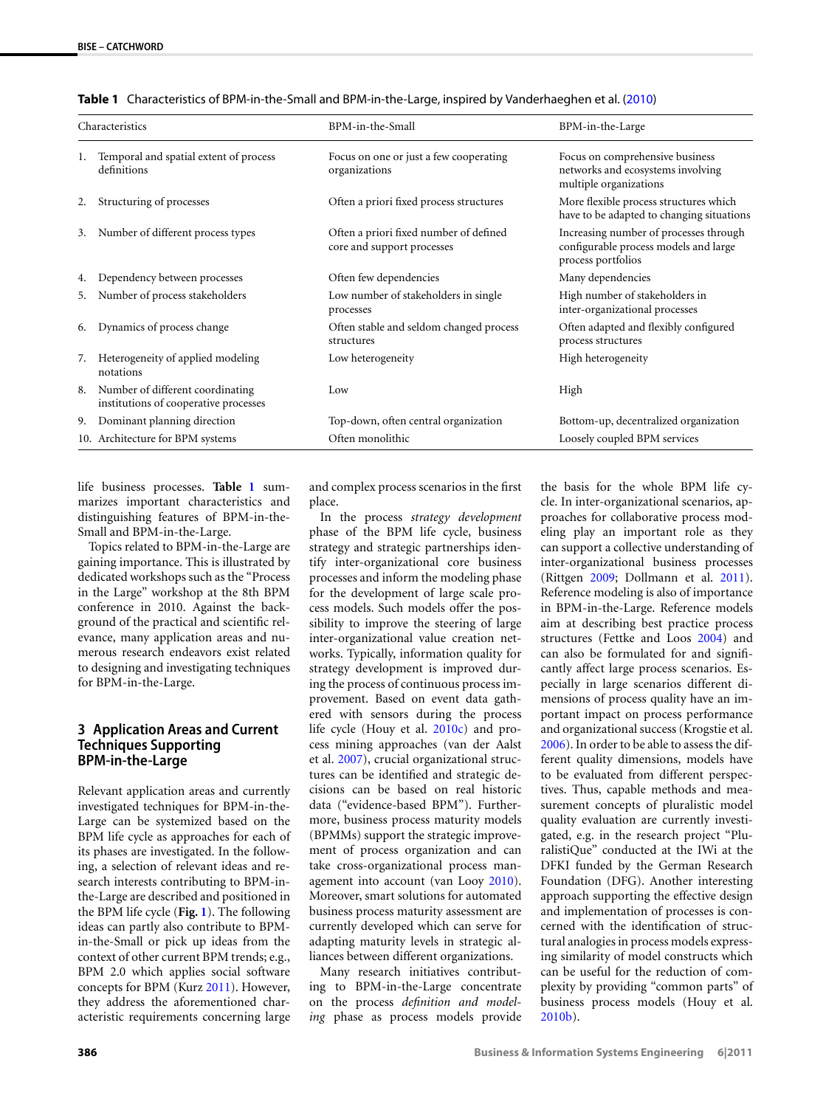| Characteristics |                                                                           | BPM-in-the-Small                                                     | BPM-in-the-Large                                                                                      |  |
|-----------------|---------------------------------------------------------------------------|----------------------------------------------------------------------|-------------------------------------------------------------------------------------------------------|--|
| 1.              | Temporal and spatial extent of process<br>definitions                     | Focus on one or just a few cooperating<br>organizations              | Focus on comprehensive business<br>networks and ecosystems involving<br>multiple organizations        |  |
| 2.              | Structuring of processes                                                  | Often a priori fixed process structures                              | More flexible process structures which<br>have to be adapted to changing situations                   |  |
| 3.              | Number of different process types                                         | Often a priori fixed number of defined<br>core and support processes | Increasing number of processes through<br>configurable process models and large<br>process portfolios |  |
| 4.              | Dependency between processes                                              | Often few dependencies                                               | Many dependencies                                                                                     |  |
| 5.              | Number of process stakeholders                                            | Low number of stakeholders in single<br>processes                    | High number of stakeholders in<br>inter-organizational processes                                      |  |
| 6.              | Dynamics of process change                                                | Often stable and seldom changed process<br>structures                | Often adapted and flexibly configured<br>process structures                                           |  |
| 7.              | Heterogeneity of applied modeling<br>notations                            | Low heterogeneity                                                    | High heterogeneity                                                                                    |  |
| 8.              | Number of different coordinating<br>institutions of cooperative processes | Low                                                                  | High                                                                                                  |  |
| 9.              | Dominant planning direction                                               | Top-down, often central organization                                 | Bottom-up, decentralized organization                                                                 |  |
|                 | 10. Architecture for BPM systems                                          | Often monolithic                                                     | Loosely coupled BPM services                                                                          |  |

<span id="page-1-0"></span>

|  |  |  |  |  | Table 1 Characteristics of BPM-in-the-Small and BPM-in-the-Large, inspired by Vanderhaeghen et al. (2010) |  |
|--|--|--|--|--|-----------------------------------------------------------------------------------------------------------|--|
|--|--|--|--|--|-----------------------------------------------------------------------------------------------------------|--|

life business processes. **Table [1](#page-1-0)** summarizes important characteristics and distinguishing features of BPM-in-the-Small and BPM-in-the-Large.

Topics related to BPM-in-the-Large are gaining importance. This is illustrated by dedicated workshops such as the "Process in the Large" workshop at the 8th BPM conference in 2010. Against the background of the practical and scientific relevance, many application areas and numerous research endeavors exist related to designing and investigating techniques for BPM-in-the-Large.

### **3 Application Areas and Current Techniques Supporting BPM-in-the-Large**

Relevant application areas and currently investigated techniques for BPM-in-the-Large can be systemized based on the BPM life cycle as approaches for each of its phases are investigated. In the following, a selection of relevant ideas and research interests contributing to BPM-inthe-Large are described and positioned in the BPM life cycle (**Fig. [1](#page-2-0)**). The following ideas can partly also contribute to BPMin-the-Small or pick up ideas from the context of other current BPM trends; e.g., BPM 2.0 which applies social software concepts for BPM (Kurz [2011](#page-3-13)). However, they address the aforementioned characteristic requirements concerning large and complex process scenarios in the first place.

In the process *strategy development* phase of the BPM life cycle, business strategy and strategic partnerships identify inter-organizational core business processes and inform the modeling phase for the development of large scale process models. Such models offer the possibility to improve the steering of large inter-organizational value creation networks. Typically, information quality for strategy development is improved during the process of continuous process improvement. Based on event data gathered with sensors during the process life cycle (Houy et al. [2010c](#page-3-14)) and process mining approaches (van der Aalst et al. [2007\)](#page-3-15), crucial organizational structures can be identified and strategic decisions can be based on real historic data ("evidence-based BPM"). Furthermore, business process maturity models (BPMMs) support the strategic improvement of process organization and can take cross-organizational process management into account (van Looy [2010](#page-3-16)). Moreover, smart solutions for automated business process maturity assessment are currently developed which can serve for adapting maturity levels in strategic alliances between different organizations.

Many research initiatives contributing to BPM-in-the-Large concentrate on the process *definition and modeling* phase as process models provide

the basis for the whole BPM life cycle. In inter-organizational scenarios, approaches for collaborative process modeling play an important role as they can support a collective understanding of inter-organizational business processes (Rittgen [2009](#page-3-17); Dollmann et al. [2011](#page-3-18)). Reference modeling is also of importance in BPM-in-the-Large. Reference models aim at describing best practice process structures (Fettke and Loos [2004\)](#page-3-19) and can also be formulated for and significantly affect large process scenarios. Especially in large scenarios different dimensions of process quality have an important impact on process performance and organizational success (Krogstie et al. [2006](#page-3-20)). In order to be able to assess the different quality dimensions, models have to be evaluated from different perspectives. Thus, capable methods and measurement concepts of pluralistic model quality evaluation are currently investigated, e.g. in the research project "PluralistiQue" conducted at the IWi at the DFKI funded by the German Research Foundation (DFG). Another interesting approach supporting the effective design and implementation of processes is concerned with the identification of structural analogies in process models expressing similarity of model constructs which can be useful for the reduction of complexity by providing "common parts" of business process models (Houy et al. [2010b\)](#page-3-11).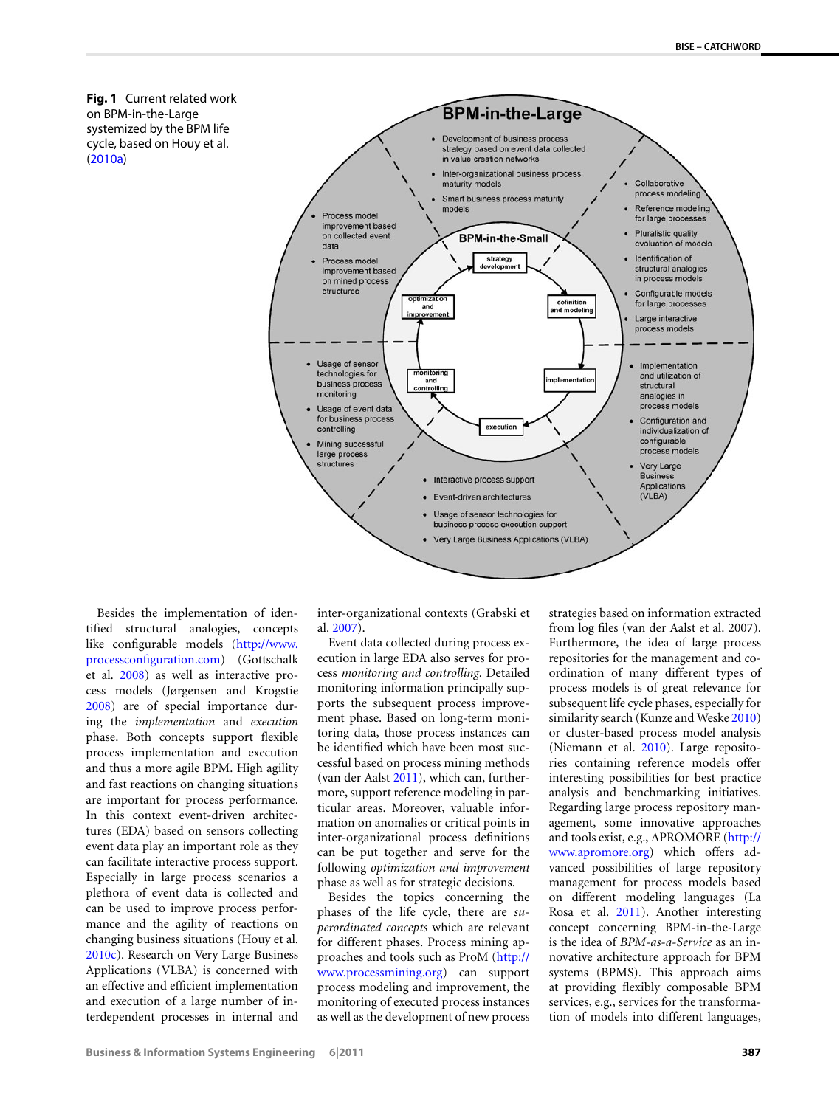

<span id="page-2-0"></span>**Fig. 1** Current related work on BPM-in-the-Large systemized by the BPM life cycle, based on Houy et al. [\(2010a](#page-3-21))

Besides the implementation of identified structural analogies, concepts like configurable models ([http://www.](http://www.processconfiguration.com) [processconfiguration.com\)](http://www.processconfiguration.com) (Gottschalk et al. [2008\)](#page-3-22) as well as interactive process models (Jørgensen and Krogstie [2008\)](#page-3-23) are of special importance during the *implementation* and *execution* phase. Both concepts support flexible process implementation and execution and thus a more agile BPM. High agility and fast reactions on changing situations are important for process performance. In this context event-driven architectures (EDA) based on sensors collecting event data play an important role as they can facilitate interactive process support. Especially in large process scenarios a plethora of event data is collected and can be used to improve process performance and the agility of reactions on changing business situations (Houy et al. [2010c\)](#page-3-14). Research on Very Large Business Applications (VLBA) is concerned with an effective and efficient implementation and execution of a large number of interdependent processes in internal and inter-organizational contexts (Grabski et al. [2007\)](#page-3-10).

Event data collected during process execution in large EDA also serves for process *monitoring and controlling*. Detailed monitoring information principally supports the subsequent process improvement phase. Based on long-term monitoring data, those process instances can be identified which have been most successful based on process mining methods (van der Aalst [2011](#page-3-24)), which can, furthermore, support reference modeling in particular areas. Moreover, valuable information on anomalies or critical points in inter-organizational process definitions can be put together and serve for the following *optimization and improvement* phase as well as for strategic decisions.

Besides the topics concerning the phases of the life cycle, there are *superordinated concepts* which are relevant for different phases. Process mining approaches and tools such as ProM ([http://](http://www.processmining.org) [www.processmining.org](http://www.processmining.org)) can support process modeling and improvement, the monitoring of executed process instances as well as the development of new process strategies based on information extracted from log files (van der Aalst et al. 2007). Furthermore, the idea of large process repositories for the management and coordination of many different types of process models is of great relevance for subsequent life cycle phases, especially for similarity search (Kunze and Weske [2010\)](#page-3-25) or cluster-based process model analysis (Niemann et al. [2010\)](#page-3-26). Large repositories containing reference models offer interesting possibilities for best practice analysis and benchmarking initiatives. Regarding large process repository management, some innovative approaches and tools exist, e.g., APROMORE ([http://](http://www.apromore.org) [www.apromore.org](http://www.apromore.org)) which offers advanced possibilities of large repository management for process models based on different modeling languages (La Rosa et al. [2011](#page-3-27)). Another interesting concept concerning BPM-in-the-Large is the idea of *BPM-as-a-Service* as an innovative architecture approach for BPM systems (BPMS). This approach aims at providing flexibly composable BPM services, e.g., services for the transformation of models into different languages,